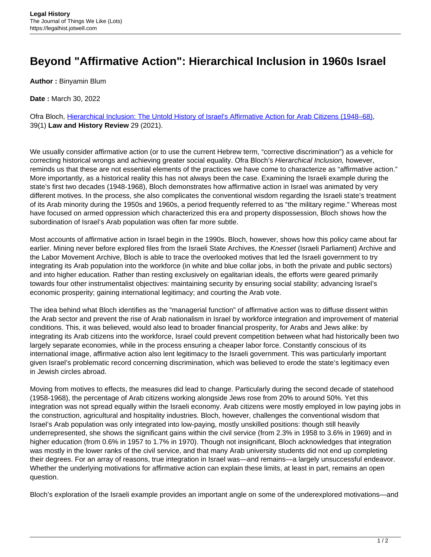## **Beyond "Affirmative Action": Hierarchical Inclusion in 1960s Israel**

**Author :** Binyamin Blum

**Date :** March 30, 2022

Ofra Bloch, [Hierarchical Inclusion: The Untold History of Israel's Affirmative Action for Arab Citizens \(1948–68\),](https://www.cambridge.org/core/journals/law-and-history-review/article/abs/hierarchical-inclusion-the-untold-history-of-israels-affirmative-action-for-arab-citizens-194868/EDCBB022DEFE55FBFF75945B781836DB) 39(1) **Law and History Review** 29 (2021).

We usually consider affirmative action (or to use the current Hebrew term, "corrective discrimination") as a vehicle for correcting historical wrongs and achieving greater social equality. Ofra Bloch's Hierarchical Inclusion, however, reminds us that these are not essential elements of the practices we have come to characterize as "affirmative action." More importantly, as a historical reality this has not always been the case. Examining the Israeli example during the state's first two decades (1948-1968), Bloch demonstrates how affirmative action in Israel was animated by very different motives. In the process, she also complicates the conventional wisdom regarding the Israeli state's treatment of its Arab minority during the 1950s and 1960s, a period frequently referred to as "the military regime." Whereas most have focused on armed oppression which characterized this era and property dispossession, Bloch shows how the subordination of Israel's Arab population was often far more subtle.

Most accounts of affirmative action in Israel begin in the 1990s. Bloch, however, shows how this policy came about far earlier. Mining never before explored files from the Israeli State Archives, the Knesset (Israeli Parliament) Archive and the Labor Movement Archive, Bloch is able to trace the overlooked motives that led the Israeli government to try integrating its Arab population into the workforce (in white and blue collar jobs, in both the private and public sectors) and into higher education. Rather than resting exclusively on egalitarian ideals, the efforts were geared primarily towards four other instrumentalist objectives: maintaining security by ensuring social stability; advancing Israel's economic prosperity; gaining international legitimacy; and courting the Arab vote.

The idea behind what Bloch identifies as the "managerial function" of affirmative action was to diffuse dissent within the Arab sector and prevent the rise of Arab nationalism in Israel by workforce integration and improvement of material conditions. This, it was believed, would also lead to broader financial prosperity, for Arabs and Jews alike: by integrating its Arab citizens into the workforce, Israel could prevent competition between what had historically been two largely separate economies, while in the process ensuring a cheaper labor force. Constantly conscious of its international image, affirmative action also lent legitimacy to the Israeli government. This was particularly important given Israel's problematic record concerning discrimination, which was believed to erode the state's legitimacy even in Jewish circles abroad.

Moving from motives to effects, the measures did lead to change. Particularly during the second decade of statehood (1958-1968), the percentage of Arab citizens working alongside Jews rose from 20% to around 50%. Yet this integration was not spread equally within the Israeli economy. Arab citizens were mostly employed in low paying jobs in the construction, agricultural and hospitality industries. Bloch, however, challenges the conventional wisdom that Israel's Arab population was only integrated into low-paying, mostly unskilled positions: though still heavily underrepresented, she shows the significant gains within the civil service (from 2.3% in 1958 to 3.6% in 1969) and in higher education (from 0.6% in 1957 to 1.7% in 1970). Though not insignificant, Bloch acknowledges that integration was mostly in the lower ranks of the civil service, and that many Arab university students did not end up completing their degrees. For an array of reasons, true integration in Israel was—and remains—a largely unsuccessful endeavor. Whether the underlying motivations for affirmative action can explain these limits, at least in part, remains an open question.

Bloch's exploration of the Israeli example provides an important angle on some of the underexplored motivations—and